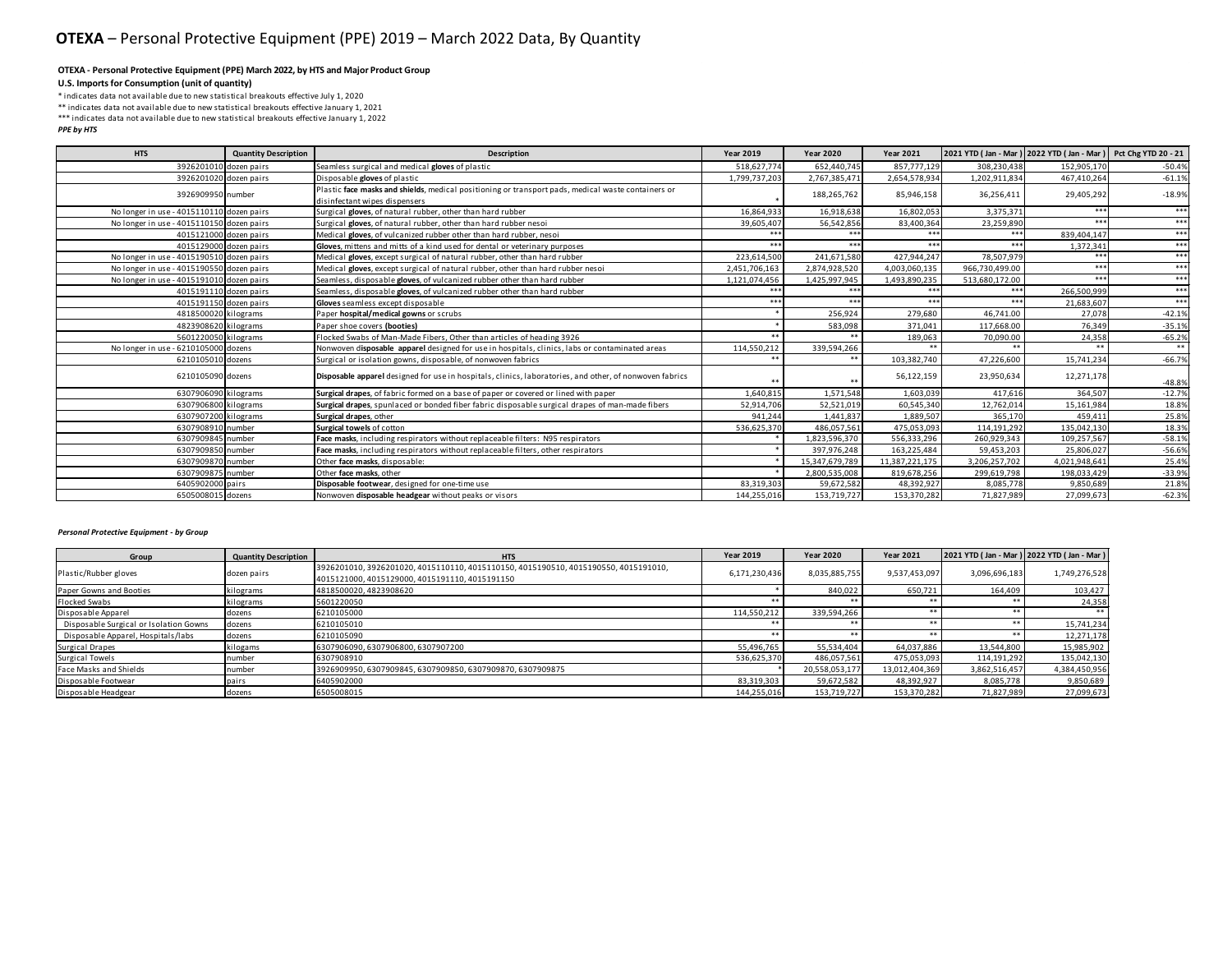#### **OTEXA - Personal Protective Equipment (PPE) March 2022, by HTS and Major Product Group**

## **U.S. Imports for Consumption (unit of quantity)**

\* indicates data not available due to new statistical breakouts effective July 1, 2020 \*\* indicates data not available due to new statistical breakouts effective January 1, 2021

\*\*\* indicates data not available due to new statistical breakouts effective January 1, 2022

### *PPE by HTS*

| <b>HTS</b>                                | <b>Quantity Description</b> | <b>Description</b>                                                                                                                  | <b>Year 2019</b> | <b>Year 2020</b> | <b>Year 2021</b> |                | 2021 YTD (Jan - Mar ) 2022 YTD (Jan - Mar ) Pct Chg YTD 20 - 21 |          |
|-------------------------------------------|-----------------------------|-------------------------------------------------------------------------------------------------------------------------------------|------------------|------------------|------------------|----------------|-----------------------------------------------------------------|----------|
| 3926201010 dozen pairs                    |                             | Seamless surgical and medical gloves of plastic                                                                                     | 518.627.774      | 652.440.745      | 857,777,129      | 308.230.438    | 152.905.170                                                     | $-50.4%$ |
| 3926201020 dozen pairs                    |                             | Disposable gloves of plastic                                                                                                        | 1.799.737.203    | 2,767,385,471    | 2.654.578.93     | 1.202.911.834  | 467.410.264                                                     | $-61.19$ |
| 3926909950 number                         |                             | Plastic face masks and shields, medical positioning or transport pads, medical waste containers or<br>disinfectant wipes dispensers |                  | 188,265,762      | 85,946,158       | 36,256,411     | 29,405,292                                                      | $-18.9%$ |
| No longer in use - 4015110110 dozen pairs |                             | Surgical gloves, of natural rubber, other than hard rubber                                                                          | 16.864.933       | 16.918.638       | 16.802.053       | 3.375.371      | ***                                                             | $***$    |
| No longer in use - 4015110150 dozen pairs |                             | Surgical gloves, of natural rubber, other than hard rubber nesoi                                                                    | 39,605,407       | 56,542,856       | 83,400,364       | 23,259,890     | ***                                                             | $***$    |
| 4015121000 dozen pairs                    |                             | Medical gloves, of vulcanized rubber other than hard rubber, nesoi                                                                  | ***              | ***              | ***              | $***$          | 839.404.147                                                     | $***$    |
| 4015129000 dozen pairs                    |                             | Gloves, mittens and mitts of a kind used for dental or veterinary purposes                                                          | ***              | ***              | ***              | ***            | 1,372,341                                                       | $***$    |
| No longer in use - 4015190510 dozen pairs |                             | Medical gloves, except surgical of natural rubber, other than hard rubber                                                           | 223,614,500      | 241,671,580      | 427,944,247      | 78,507,979     |                                                                 | $***$    |
| No longer in use - 4015190550 dozen pairs |                             | Medical gloves, except surgical of natural rubber, other than hard rubber nesoi                                                     | 2,451,706,163    | 2,874,928,520    | 4,003,060,135    | 966,730,499.00 | ***                                                             | $***$    |
| No longer in use - 4015191010 dozen pairs |                             | Seamless, disposable gloves, of vulcanized rubber other than hard rubber                                                            | 1,121,074,456    | 1,425,997,945    | 1,493,890,235    | 513,680,172.00 | ***                                                             | $***$    |
| 4015191110 dozen pairs                    |                             | Seamless, disposable gloves, of vulcanized rubber other than hard rubber                                                            | ***              | $***$            | ***              | $***$          | 266,500,999                                                     | $***$    |
| 4015191150 dozen pairs                    |                             | Gloves seamless except disposable                                                                                                   | ***              | ***              | ***              | ***            | 21.683.607                                                      | $***$    |
| 4818500020 kilograms                      |                             | Paper hospital/medical gowns or scrubs                                                                                              |                  | 256,924          | 279,680          | 46.741.00      | 27,078                                                          | $-42.1%$ |
| 4823908620 kilograms                      |                             | Paper shoe covers (booties)                                                                                                         |                  | 583,098          | 371.041          | 117,668.00     | 76.349                                                          | $-35.19$ |
| 5601220050 kilograms                      |                             | Flocked Swabs of Man-Made Fibers, Other than articles of heading 3926                                                               | $***$            | **               | 189,063          | 70,090.00      | 24,358                                                          | $-65.2%$ |
| No longer in use - 6210105000 dozens      |                             | Nonwoven disposable apparel designed for use in hospitals, clinics, labs or contaminated areas                                      | 114,550,212      | 339,594,266      |                  | **             |                                                                 | $**$     |
| 6210105010 dozens                         |                             | Surgical or isolation gowns, disposable, of nonwoven fabrics                                                                        | $***$            | $**$             | 103,382,740      | 47,226,600     | 15,741,234                                                      | $-66.79$ |
| 6210105090 dozens                         |                             | Disposable apparel designed for use in hospitals, clinics, laboratories, and other, of nonwoven fabrics                             | $***$            | $*1$             | 56,122,159       | 23,950,634     | 12,271,178                                                      | $-48.8%$ |
| 6307906090 kilograms                      |                             | Surgical drapes, of fabric formed on a base of paper or covered or lined with paper                                                 | 1,640,815        | 1,571,548        | 1,603,039        | 417,616        | 364,507                                                         | $-12.79$ |
| 6307906800 kilograms                      |                             | Surgical drapes, spunlaced or bonded fiber fabric disposable surgical drapes of man-made fibers                                     | 52,914,706       | 52,521,019       | 60,545,340       | 12,762,014     | 15,161,984                                                      | 18.89    |
| 6307907200 kilograms                      |                             | Surgical drapes, other                                                                                                              | 941.244          | 1.441.837        | 1.889.507        | 365.170        | 459.411                                                         | 25.89    |
| 6307908910 number                         |                             | Surgical towels of cotton                                                                                                           | 536,625,370      | 486,057,561      | 475,053,093      | 114,191,292    | 135.042.130                                                     | 18.39    |
| 6307909845 number                         |                             | Face masks, including respirators without replaceable filters: N95 respirators                                                      |                  | 1,823,596,370    | 556,333,296      | 260,929,343    | 109,257,567                                                     | $-58.19$ |
| 6307909850 number                         |                             | Face masks, including respirators without replaceable filters, other respirators                                                    |                  | 397,976,248      | 163,225,484      | 59,453,203     | 25,806,027                                                      | $-56.69$ |
| 6307909870 number                         |                             | Other face masks, disposable:                                                                                                       |                  | 15,347,679,789   | 11,387,221,175   | 3,206,257,702  | 4.021.948.641                                                   | 25.49    |
| 6307909875 number                         |                             | Other face masks, other                                                                                                             |                  | 2,800,535,008    | 819,678,256      | 299,619,798    | 198,033,429                                                     | $-33.9%$ |
| 6405902000 pairs                          |                             | Disposable footwear, designed for one-time use                                                                                      | 83.319.303       | 59,672,582       | 48,392,927       | 8,085,778      | 9.850.689                                                       | 21.8%    |
| 6505008015 dozens                         |                             | Nonwoven disposable headgear without peaks or visors                                                                                | 144.255.016      | 153.719.727      | 153.370.282      | 71.827.989     | 27.099.673                                                      | $-62.3%$ |

## *Personal Protective Equipment - by Group*

| Group                                  | <b>Quantity Description</b> | <b>HTS</b>                                                                          | <b>Year 2019</b> | <b>Year 2020</b> | <b>Year 2021</b> |               | 2021 YTD (Jan - Mar) 2022 YTD (Jan - Mar) |
|----------------------------------------|-----------------------------|-------------------------------------------------------------------------------------|------------------|------------------|------------------|---------------|-------------------------------------------|
| Plastic/Rubber gloves                  | dozen pairs                 | 3926201010, 3926201020, 4015110110, 4015110150, 4015190510, 4015190550, 4015191010, | 6,171,230,436    | 8,035,885,755    | 9.537.453.097    | 3,096,696,183 | 1,749,276,528                             |
|                                        |                             | 4015121000, 4015129000, 4015191110, 4015191150                                      |                  |                  |                  |               |                                           |
| Paper Gowns and Booties                | kilograms                   | 4818500020, 4823908620                                                              |                  | 840,022          | 650,721          | 164,409       | 103,427                                   |
| Flocked Swabs                          | kilograms                   | 5601220050                                                                          | **               | **               |                  |               | 24,358                                    |
| Disposable Apparel                     | dozens                      | 6210105000                                                                          | 114,550,212      | 339,594,266      |                  |               |                                           |
| Disposable Surgical or Isolation Gowns | dozens                      | 6210105010                                                                          | **               | **               | **               | **            | 15,741,234                                |
| Disposable Apparel, Hospitals/labs     | dozens                      | 6210105090                                                                          | 水水               | **               |                  |               | 12,271,178                                |
| Surgical Drapes                        | kilogams                    | 6307906090, 6307906800, 6307907200                                                  | 55,496,765       | 55,534,404       | 64,037,886       | 13,544,800    | 15,985,902                                |
| Surgical Towels                        | number                      | 6307908910                                                                          | 536,625,370      | 486,057,561      | 475,053,093      | 114,191,292   | 135,042,130                               |
| Face Masks and Shields                 | number                      | 3926909950, 6307909845, 6307909850, 6307909870, 6307909875                          |                  | 20,558,053,177   | 13.012.404.369   | 3,862,516,457 | 4,384,450,956                             |
| Disposable Footwear                    | pairs                       | 6405902000                                                                          | 83,319,303       | 59,672,582       | 48.392.927       | 8,085,778     | 9,850,689                                 |
| Disposable Headgear                    | dozens                      | 6505008015                                                                          | 144,255,016      | 153,719,727      | 153,370,282      | 71,827,989    | 27,099,673                                |